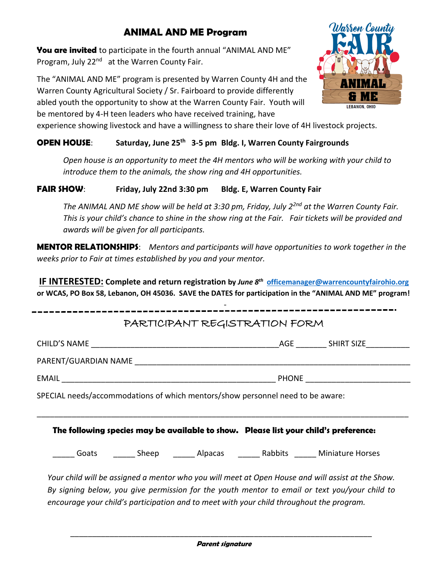## **ANIMAL AND ME Program**

**You are invited** to participate in the fourth annual "ANIMAL AND ME" Program, July 22<sup>nd</sup> at the Warren County Fair.

The "ANIMAL AND ME" program is presented by Warren County 4H and the Warren County Agricultural Society / Sr. Fairboard to provide differently abled youth the opportunity to show at the Warren County Fair. Youth will be mentored by 4-H teen leaders who have received training, have



experience showing livestock and have a willingness to share their love of 4H livestock projects.

## **OPEN HOUSE**: **Saturday, June 25 th 3-5 pm Bldg. I, Warren County Fairgrounds**

*Open house is an opportunity to meet the 4H mentors who will be working with your child to introduce them to the animals, the show ring and 4H opportunities.*

## **FAIR SHOW**: **Friday, July 22nd 3:30 pm Bldg. E, Warren County Fair**

*The ANIMAL AND ME show will be held at 3:30 pm, Friday, July 2 2nd at the Warren County Fair. This is your child's chance to shine in the show ring at the Fair. Fair tickets will be provided and awards will be given for all participants.* 

**MENTOR RELATIONSHIPS**: *Mentors and participants will have opportunities to work together in the weeks prior to Fair at times established by you and your mentor.* 

**IF INTERESTED: Complete and return registration by** *June 8 th* **[officemanager@warrencountyfairohio.org](mailto:officemanager@warrencountyfairohio.org) or WCAS, PO Box 58, Lebanon, OH 45036. SAVE the DATES for participation in the "ANIMAL AND ME" program!**

|  | SPECIAL needs/accommodations of which mentors/show personnel need to be aware:         |  |  |
|--|----------------------------------------------------------------------------------------|--|--|
|  | The following species may be available to show.   Please list your child's preference: |  |  |
|  | ______ Goats   ______ Sheep   ______ Alpacas   ______ Rabbits  ______ Miniature Horses |  |  |